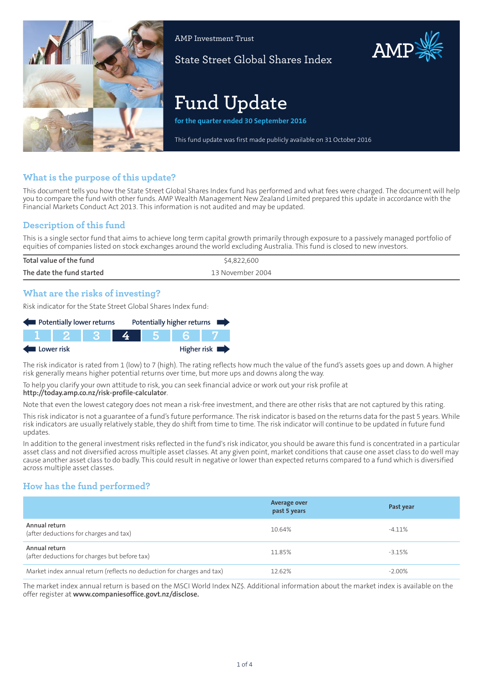

AMP Investment Trust

State Street Global Shares Index

# **Fund Update**

**for the quarter ended 30 September 2016**

This fund update was first made publicly available on 31 October 2016

AMP

## **What is the purpose of this update?**

This document tells you how the State Street Global Shares Index fund has performed and what fees were charged. The document will help you to compare the fund with other funds. AMP Wealth Management New Zealand Limited prepared this update in accordance with the Financial Markets Conduct Act 2013. This information is not audited and may be updated.

## **Description of this fund**

This is a single sector fund that aims to achieve long term capital growth primarily through exposure to a passively managed portfolio of equities of companies listed on stock exchanges around the world excluding Australia. This fund is closed to new investors.

| Total value of the fund   | \$4,822,600      |
|---------------------------|------------------|
| The date the fund started | 13 November 2004 |
|                           |                  |

## **What are the risks of investing?**

Risk indicator for the State Street Global Shares Index fund:

| Potentially lower returns |  |  |  | Potentially higher returns |             |
|---------------------------|--|--|--|----------------------------|-------------|
|                           |  |  |  |                            |             |
| Lower risk                |  |  |  |                            | Higher risk |

The risk indicator is rated from 1 (low) to 7 (high). The rating reflects how much the value of the fund's assets goes up and down. A higher risk generally means higher potential returns over time, but more ups and downs along the way.

To help you clarify your own attitude to risk, you can seek financial advice or work out your risk profile at

#### **<http://today.amp.co.nz/risk-profile-calculator>**.

Note that even the lowest category does not mean a risk-free investment, and there are other risks that are not captured by this rating.

This risk indicator is not a guarantee of a fund's future performance. The risk indicator is based on the returns data for the past 5 years. While risk indicators are usually relatively stable, they do shift from time to time. The risk indicator will continue to be updated in future fund updates.

In addition to the general investment risks reflected in the fund's risk indicator, you should be aware this fund is concentrated in a particular asset class and not diversified across multiple asset classes. At any given point, market conditions that cause one asset class to do well may cause another asset class to do badly. This could result in negative or lower than expected returns compared to a fund which is diversified across multiple asset classes.

## **How has the fund performed?**

|                                                                        | Average over<br>past 5 years | Past year |
|------------------------------------------------------------------------|------------------------------|-----------|
| Annual return<br>(after deductions for charges and tax)                | 10.64%                       | $-4.11%$  |
| Annual return<br>(after deductions for charges but before tax)         | 11.85%                       | $-3.15%$  |
| Market index annual return (reflects no deduction for charges and tax) | 12.62%                       | $-2.00\%$ |

The market index annual return is based on the MSCI World Index NZ\$. Additional information about the market index is available on the offer register at **www.companiesoffice.govt.nz/disclose.**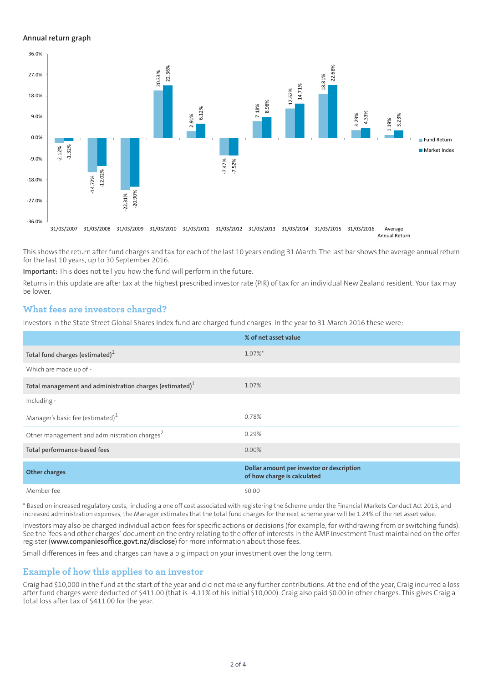#### **Annual return graph**



This shows the return after fund charges and tax for each of the last 10 years ending 31 March. The last bar shows the average annual return for the last 10 years, up to 30 September 2016.

**Important:** This does not tell you how the fund will perform in the future.

Returns in this update are after tax at the highest prescribed investor rate (PIR) of tax for an individual New Zealand resident. Your tax may be lower.

#### **What fees are investors charged?**

Investors in the State Street Global Shares Index fund are charged fund charges. In the year to 31 March 2016 these were:

|                                                             | % of net asset value                                                     |
|-------------------------------------------------------------|--------------------------------------------------------------------------|
| Total fund charges (estimated) $1$                          | $1.07\%$ <sup>*</sup>                                                    |
| Which are made up of -                                      |                                                                          |
| Total management and administration charges (estimated) $1$ | 1.07%                                                                    |
| Including -                                                 |                                                                          |
| Manager's basic fee (estimated) $1$                         | 0.78%                                                                    |
| Other management and administration charges <sup>2</sup>    | 0.29%                                                                    |
| Total performance-based fees                                | $0.00\%$                                                                 |
| <b>Other charges</b>                                        | Dollar amount per investor or description<br>of how charge is calculated |
| Member fee                                                  | \$0.00                                                                   |

\* Based on increased regulatory costs, including a one off cost associated with registering the Scheme under the Financial Markets Conduct Act 2013, and increased administration expenses, the Manager estimates that the total fund charges for the next scheme year will be 1.24% of the net asset value.

Investors may also be charged individual action fees for specific actions or decisions (for example, for withdrawing from or switching funds). See the 'fees and other charges' document on the entry relating to the offer of interests in the AMP Investment Trust maintained on the offer register (**www.companiesoffice.govt.nz/disclose**) for more information about those fees.

Small differences in fees and charges can have a big impact on your investment over the long term.

### **Example of how this applies to an investor**

Craig had \$10,000 in the fund at the start of the year and did not make any further contributions. At the end of the year, Craig incurred a loss after fund charges were deducted of \$411.00 (that is -4.11% of his initial \$10,000). Craig also paid \$0.00 in other charges. This gives Craig a total loss after tax of \$411.00 for the year.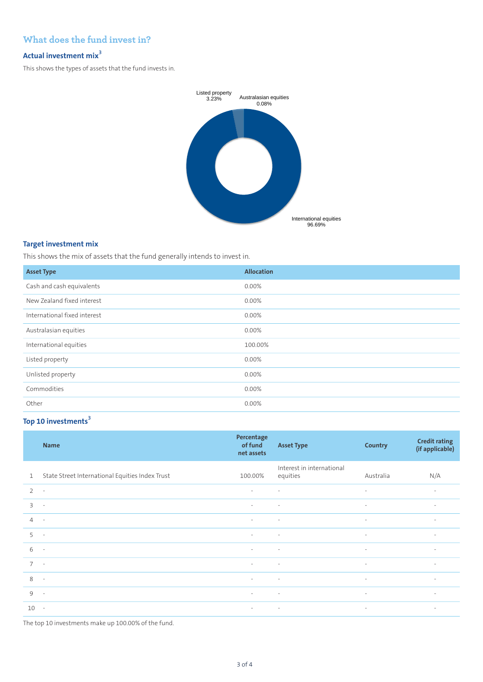## **What does the fund invest in?**

# **Actual investment mix<sup>3</sup>**

This shows the types of assets that the fund invests in.



#### **Target investment mix**

This shows the mix of assets that the fund generally intends to invest in.

| <b>Asset Type</b>            | <b>Allocation</b> |
|------------------------------|-------------------|
| Cash and cash equivalents    | 0.00%             |
| New Zealand fixed interest   | $0.00\%$          |
| International fixed interest | 0.00%             |
| Australasian equities        | 0.00%             |
| International equities       | 100.00%           |
| Listed property              | 0.00%             |
| Unlisted property            | 0.00%             |
| Commodities                  | 0.00%             |
| Other                        | $0.00\%$          |

## **Top 10 investments[3](#page-3-1)**

|                | <b>Name</b>                                     | Percentage<br>of fund<br>net assets | <b>Asset Type</b>                     | <b>Country</b> | <b>Credit rating</b><br>(if applicable) |
|----------------|-------------------------------------------------|-------------------------------------|---------------------------------------|----------------|-----------------------------------------|
| $\mathbf{1}$   | State Street International Equities Index Trust | 100.00%                             | Interest in international<br>equities | Australia      | N/A                                     |
| 2              | $\sim$                                          | $\sim$                              | $\sim$                                | $\sim$         | $\overline{\phantom{a}}$                |
| $\overline{3}$ | $\overline{\phantom{a}}$                        | $\sim$                              | $\sim$                                | $\sim$         | $\sim$                                  |
| $\overline{4}$ | $\sim$                                          | $\sim$                              | $\sim$                                | $\sim$         | $\sim$                                  |
| 5              | $\sim$                                          | $\sim$                              | $\sim$                                | $\sim$         | $\overline{\phantom{a}}$                |
| 6              | $\mathcal{L}_{\mathcal{A}}$                     | $\sim$                              | $\sim$                                | $\sim$         | $\overline{\phantom{a}}$                |
| $7^{\circ}$    | $\sim$                                          | $\sim$                              | $\overline{\phantom{a}}$              | $\sim$         | $\overline{\phantom{a}}$                |
| 8              | $\sim$                                          | $\sim$                              | $\sim$                                | $\sim$         | $\sim$                                  |
| 9              | $\sim$                                          | $\sim$                              | $\sim$                                | $\sim$         | $\sim$                                  |
| 10             | $\sim$ $-$                                      | $\sim$                              | $\sim$                                | $\sim$         | $\overline{\phantom{a}}$                |

The top 10 investments make up 100.00% of the fund.